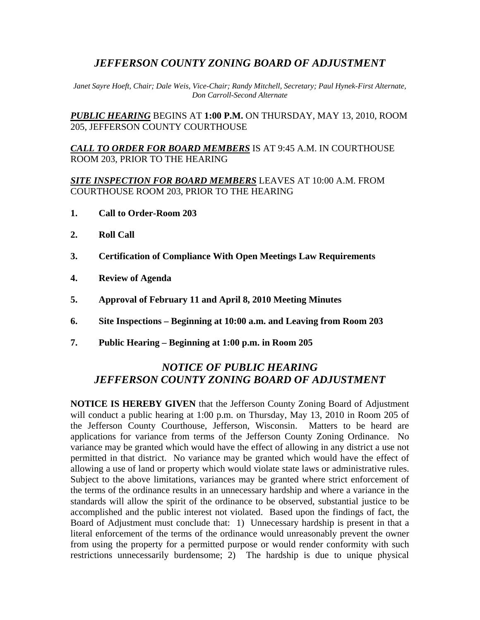## *JEFFERSON COUNTY ZONING BOARD OF ADJUSTMENT*

*Janet Sayre Hoeft, Chair; Dale Weis, Vice-Chair; Randy Mitchell, Secretary; Paul Hynek-First Alternate, Don Carroll-Second Alternate* 

*PUBLIC HEARING* BEGINS AT **1:00 P.M.** ON THURSDAY, MAY 13, 2010, ROOM 205, JEFFERSON COUNTY COURTHOUSE

*CALL TO ORDER FOR BOARD MEMBERS* IS AT 9:45 A.M. IN COURTHOUSE ROOM 203, PRIOR TO THE HEARING

*SITE INSPECTION FOR BOARD MEMBERS* LEAVES AT 10:00 A.M. FROM COURTHOUSE ROOM 203, PRIOR TO THE HEARING

- **1. Call to Order-Room 203**
- **2. Roll Call**
- **3. Certification of Compliance With Open Meetings Law Requirements**
- **4. Review of Agenda**
- **5. Approval of February 11 and April 8, 2010 Meeting Minutes**
- **6. Site Inspections Beginning at 10:00 a.m. and Leaving from Room 203**
- **7. Public Hearing Beginning at 1:00 p.m. in Room 205**

## *NOTICE OF PUBLIC HEARING JEFFERSON COUNTY ZONING BOARD OF ADJUSTMENT*

**NOTICE IS HEREBY GIVEN** that the Jefferson County Zoning Board of Adjustment will conduct a public hearing at 1:00 p.m. on Thursday, May 13, 2010 in Room 205 of the Jefferson County Courthouse, Jefferson, Wisconsin. Matters to be heard are applications for variance from terms of the Jefferson County Zoning Ordinance. No variance may be granted which would have the effect of allowing in any district a use not permitted in that district. No variance may be granted which would have the effect of allowing a use of land or property which would violate state laws or administrative rules. Subject to the above limitations, variances may be granted where strict enforcement of the terms of the ordinance results in an unnecessary hardship and where a variance in the standards will allow the spirit of the ordinance to be observed, substantial justice to be accomplished and the public interest not violated. Based upon the findings of fact, the Board of Adjustment must conclude that: 1) Unnecessary hardship is present in that a literal enforcement of the terms of the ordinance would unreasonably prevent the owner from using the property for a permitted purpose or would render conformity with such restrictions unnecessarily burdensome; 2) The hardship is due to unique physical